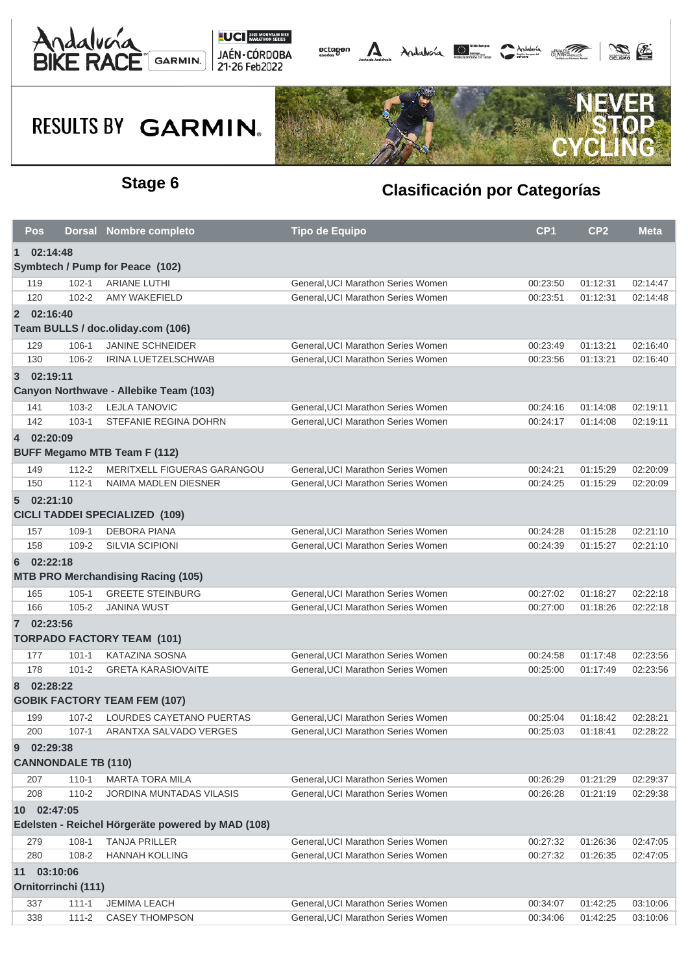



# **RESULTS BY GARMIN.**



### **Stage 6 Clasificación por Categorías**

|                                                                  | Pos        |                            | Dorsal Nombre completo                    | <b>Tipo de Equipo</b>              | CP <sub>1</sub> | CP <sub>2</sub> | <b>Meta</b> |  |  |  |  |  |
|------------------------------------------------------------------|------------|----------------------------|-------------------------------------------|------------------------------------|-----------------|-----------------|-------------|--|--|--|--|--|
| $\mathbf{1}$                                                     | 02:14:48   |                            |                                           |                                    |                 |                 |             |  |  |  |  |  |
| Symbtech / Pump for Peace (102)                                  |            |                            |                                           |                                    |                 |                 |             |  |  |  |  |  |
|                                                                  | 119        | $102 - 1$                  | <b>ARIANE LUTHI</b>                       | General, UCI Marathon Series Women | 00:23:50        | 01:12:31        | 02:14:47    |  |  |  |  |  |
|                                                                  | 120        | $102 - 2$                  | AMY WAKEFIELD                             | General.UCI Marathon Series Women  | 00:23:51        | 01:12:31        | 02:14:48    |  |  |  |  |  |
|                                                                  | 2 02:16:40 |                            |                                           |                                    |                 |                 |             |  |  |  |  |  |
|                                                                  |            |                            | Team BULLS / doc.oliday.com (106)         |                                    |                 |                 |             |  |  |  |  |  |
|                                                                  | 129        | 106-1                      | <b>JANINE SCHNEIDER</b>                   | General, UCI Marathon Series Women | 00:23:49        | 01:13:21        | 02:16:40    |  |  |  |  |  |
|                                                                  | 130        | 106-2                      | <b>IRINA LUETZELSCHWAB</b>                | General, UCI Marathon Series Women | 00:23:56        | 01:13:21        | 02:16:40    |  |  |  |  |  |
|                                                                  | 3 02:19:11 |                            |                                           |                                    |                 |                 |             |  |  |  |  |  |
| Canyon Northwave - Allebike Team (103)                           |            |                            |                                           |                                    |                 |                 |             |  |  |  |  |  |
|                                                                  | 141        | $103 - 2$                  | <b>LEJLA TANOVIC</b>                      | General, UCI Marathon Series Women | 00:24:16        | 01:14:08        | 02:19:11    |  |  |  |  |  |
|                                                                  | 142        | $103 - 1$                  | STEFANIE REGINA DOHRN                     | General, UCI Marathon Series Women | 00:24:17        | 01:14:08        | 02:19:11    |  |  |  |  |  |
|                                                                  | 4 02:20:09 |                            |                                           |                                    |                 |                 |             |  |  |  |  |  |
| <b>BUFF Megamo MTB Team F (112)</b>                              |            |                            |                                           |                                    |                 |                 |             |  |  |  |  |  |
|                                                                  | 149        | $112 - 2$                  | MERITXELL FIGUERAS GARANGOU               | General.UCI Marathon Series Women  | 00:24:21        | 01:15:29        | 02:20:09    |  |  |  |  |  |
|                                                                  | 150        | $112 - 1$                  | NAIMA MADLEN DIESNER                      | General, UCI Marathon Series Women | 00:24:25        | 01:15:29        | 02:20:09    |  |  |  |  |  |
|                                                                  | 502:21:10  |                            |                                           |                                    |                 |                 |             |  |  |  |  |  |
| <b>CICLI TADDEI SPECIALIZED (109)</b>                            |            |                            |                                           |                                    |                 |                 |             |  |  |  |  |  |
|                                                                  | 157        | $109-1$                    | <b>DEBORA PIANA</b>                       | General, UCI Marathon Series Women | 00:24:28        | 01:15:28        | 02:21:10    |  |  |  |  |  |
|                                                                  | 158        | $109 - 2$                  | <b>SILVIA SCIPIONI</b>                    | General, UCI Marathon Series Women | 00:24:39        | 01:15:27        | 02:21:10    |  |  |  |  |  |
| 6                                                                | 02:22:18   |                            |                                           |                                    |                 |                 |             |  |  |  |  |  |
|                                                                  |            |                            | <b>MTB PRO Merchandising Racing (105)</b> |                                    |                 |                 |             |  |  |  |  |  |
|                                                                  | 165        | $105 - 1$                  | <b>GREETE STEINBURG</b>                   | General, UCI Marathon Series Women | 00:27:02        | 01:18:27        | 02:22:18    |  |  |  |  |  |
|                                                                  | 166        | $105 - 2$                  | <b>JANINA WUST</b>                        | General, UCI Marathon Series Women | 00:27:00        | 01:18:26        | 02:22:18    |  |  |  |  |  |
|                                                                  | 7 02:23:56 |                            |                                           |                                    |                 |                 |             |  |  |  |  |  |
|                                                                  |            |                            | <b>TORPADO FACTORY TEAM (101)</b>         |                                    |                 |                 |             |  |  |  |  |  |
|                                                                  | 177        | $101 - 1$                  | <b>KATAZINA SOSNA</b>                     | General, UCI Marathon Series Women | 00:24:58        | 01:17:48        | 02:23:56    |  |  |  |  |  |
|                                                                  | 178        | $101 - 2$                  | <b>GRETA KARASIOVAITE</b>                 | General, UCI Marathon Series Women | 00:25:00        | 01:17:49        | 02:23:56    |  |  |  |  |  |
| 8                                                                | 02:28:22   |                            |                                           |                                    |                 |                 |             |  |  |  |  |  |
|                                                                  |            |                            | <b>GOBIK FACTORY TEAM FEM (107)</b>       |                                    |                 |                 |             |  |  |  |  |  |
|                                                                  | 199        | $107 - 2$                  | LOURDES CAYETANO PUERTAS                  | General, UCI Marathon Series Women | 00:25:04        | 01:18:42        | 02:28:21    |  |  |  |  |  |
|                                                                  | 200        | $107 - 1$                  | ARANTXA SALVADO VERGES                    | General, UCI Marathon Series Women | 00:25:03        | 01:18:41        | 02:28:22    |  |  |  |  |  |
| 9                                                                | 02:29:38   |                            |                                           |                                    |                 |                 |             |  |  |  |  |  |
|                                                                  |            | <b>CANNONDALE TB (110)</b> |                                           |                                    |                 |                 |             |  |  |  |  |  |
|                                                                  | 207        | $110 - 1$                  | <b>MARTA TORA MILA</b>                    | General, UCI Marathon Series Women | 00:26:29        | 01:21:29        | 02:29:37    |  |  |  |  |  |
|                                                                  | 208        | $110-2$                    | <b>JORDINA MUNTADAS VILASIS</b>           | General, UCI Marathon Series Women | 00:26:28        | 01:21:19        | 02:29:38    |  |  |  |  |  |
|                                                                  |            |                            |                                           |                                    |                 |                 |             |  |  |  |  |  |
| 10 02:47:05<br>Edelsten - Reichel Hörgeräte powered by MAD (108) |            |                            |                                           |                                    |                 |                 |             |  |  |  |  |  |
|                                                                  | 279        | $108-1$                    | <b>TANJA PRILLER</b>                      | General, UCI Marathon Series Women | 00:27:32        | 01:26:36        | 02:47:05    |  |  |  |  |  |
|                                                                  | 280        | 108-2                      | <b>HANNAH KOLLING</b>                     | General, UCI Marathon Series Women | 00:27:32        | 01:26:35        | 02:47:05    |  |  |  |  |  |
| 11                                                               | 03:10:06   |                            |                                           |                                    |                 |                 |             |  |  |  |  |  |
| Ornitorrinchi (111)                                              |            |                            |                                           |                                    |                 |                 |             |  |  |  |  |  |
|                                                                  | 337        | $111 - 1$                  | <b>JEMIMA LEACH</b>                       | General, UCI Marathon Series Women | 00:34:07        | 01:42:25        | 03:10:06    |  |  |  |  |  |
|                                                                  | 338        | $111 - 2$                  | <b>CASEY THOMPSON</b>                     | General, UCI Marathon Series Women | 00:34:06        | 01:42:25        | 03:10:06    |  |  |  |  |  |